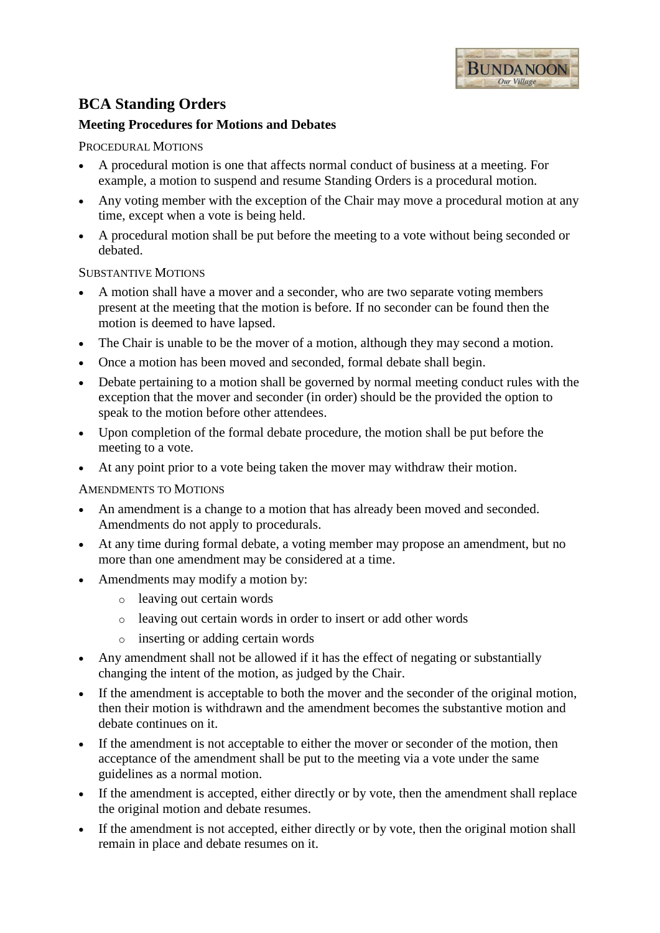

# **BCA Standing Orders**

# **Meeting Procedures for Motions and Debates**

## PROCEDURAL MOTIONS

- A procedural motion is one that affects normal conduct of business at a meeting. For example, a motion to suspend and resume Standing Orders is a procedural motion.
- Any voting member with the exception of the Chair may move a procedural motion at any time, except when a vote is being held.
- A procedural motion shall be put before the meeting to a vote without being seconded or debated.

#### SUBSTANTIVE MOTIONS

- A motion shall have a mover and a seconder, who are two separate voting members present at the meeting that the motion is before. If no seconder can be found then the motion is deemed to have lapsed.
- The Chair is unable to be the mover of a motion, although they may second a motion.
- Once a motion has been moved and seconded, formal debate shall begin.
- Debate pertaining to a motion shall be governed by normal meeting conduct rules with the exception that the mover and seconder (in order) should be the provided the option to speak to the motion before other attendees.
- Upon completion of the formal debate procedure, the motion shall be put before the meeting to a vote.
- At any point prior to a vote being taken the mover may withdraw their motion.

AMENDMENTS TO MOTIONS

- An amendment is a change to a motion that has already been moved and seconded. Amendments do not apply to procedurals.
- At any time during formal debate, a voting member may propose an amendment, but no more than one amendment may be considered at a time.
- Amendments may modify a motion by:
	- o leaving out certain words
	- o leaving out certain words in order to insert or add other words
	- o inserting or adding certain words
- Any amendment shall not be allowed if it has the effect of negating or substantially changing the intent of the motion, as judged by the Chair.
- If the amendment is acceptable to both the mover and the seconder of the original motion, then their motion is withdrawn and the amendment becomes the substantive motion and debate continues on it.
- If the amendment is not acceptable to either the mover or seconder of the motion, then acceptance of the amendment shall be put to the meeting via a vote under the same guidelines as a normal motion.
- If the amendment is accepted, either directly or by vote, then the amendment shall replace the original motion and debate resumes.
- If the amendment is not accepted, either directly or by vote, then the original motion shall remain in place and debate resumes on it.